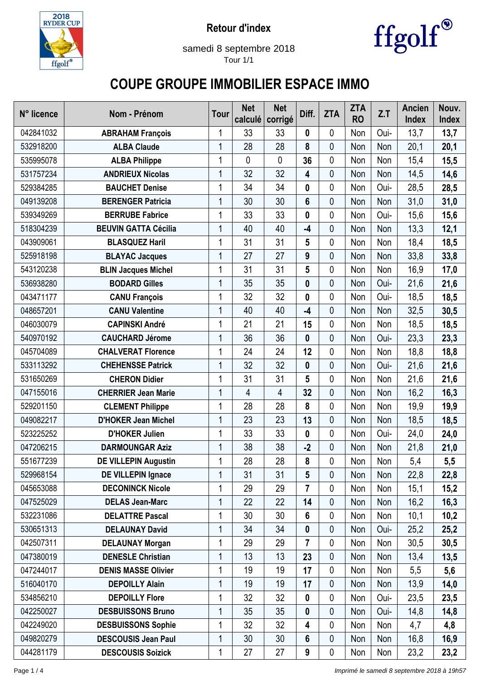



samedi 8 septembre 2018 Tour 1/1

## **COUPE GROUPE IMMOBILIER ESPACE IMMO**

| N° licence | Nom - Prénom                | Tour | <b>Net</b><br>calculé | <b>Net</b><br>corrigé | Diff.            | <b>ZTA</b>  | <b>ZTA</b><br><b>RO</b> | Z.T  | <b>Ancien</b><br><b>Index</b> | Nouv.<br>Index |
|------------|-----------------------------|------|-----------------------|-----------------------|------------------|-------------|-------------------------|------|-------------------------------|----------------|
| 042841032  | <b>ABRAHAM François</b>     | 1    | 33                    | 33                    | 0                | 0           | Non                     | Oui- | 13,7                          | 13,7           |
| 532918200  | <b>ALBA Claude</b>          | 1    | 28                    | 28                    | 8                | 0           | Non                     | Non  | 20,1                          | 20,1           |
| 535995078  | <b>ALBA Philippe</b>        | 1    | $\mathbf 0$           | 0                     | 36               | 0           | Non                     | Non  | 15,4                          | 15,5           |
| 531757234  | <b>ANDRIEUX Nicolas</b>     | 1    | 32                    | 32                    | 4                | 0           | Non                     | Non  | 14,5                          | 14,6           |
| 529384285  | <b>BAUCHET Denise</b>       | 1    | 34                    | 34                    | 0                | 0           | Non                     | Oui- | 28,5                          | 28,5           |
| 049139208  | <b>BERENGER Patricia</b>    | 1    | 30                    | 30                    | $6\phantom{1}$   | 0           | Non                     | Non  | 31,0                          | 31,0           |
| 539349269  | <b>BERRUBE Fabrice</b>      | 1    | 33                    | 33                    | 0                | 0           | Non                     | Oui- | 15,6                          | 15,6           |
| 518304239  | <b>BEUVIN GATTA Cécilia</b> | 1    | 40                    | 40                    | $-4$             | 0           | Non                     | Non  | 13,3                          | 12,1           |
| 043909061  | <b>BLASQUEZ Haril</b>       | 1    | 31                    | 31                    | 5                | 0           | Non                     | Non  | 18,4                          | 18,5           |
| 525918198  | <b>BLAYAC Jacques</b>       | 1    | 27                    | 27                    | 9                | 0           | Non                     | Non  | 33,8                          | 33,8           |
| 543120238  | <b>BLIN Jacques Michel</b>  | 1    | 31                    | 31                    | 5                | 0           | Non                     | Non  | 16,9                          | 17,0           |
| 536938280  | <b>BODARD Gilles</b>        | 1    | 35                    | 35                    | 0                | 0           | Non                     | Oui- | 21,6                          | 21,6           |
| 043471177  | <b>CANU François</b>        | 1    | 32                    | 32                    | 0                | 0           | Non                     | Oui- | 18,5                          | 18,5           |
| 048657201  | <b>CANU Valentine</b>       | 1    | 40                    | 40                    | $-4$             | 0           | Non                     | Non  | 32,5                          | 30,5           |
| 046030079  | <b>CAPINSKI André</b>       | 1    | 21                    | 21                    | 15               | 0           | Non                     | Non  | 18,5                          | 18,5           |
| 540970192  | <b>CAUCHARD Jérome</b>      | 1    | 36                    | 36                    | $\boldsymbol{0}$ | 0           | Non                     | Oui- | 23,3                          | 23,3           |
| 045704089  | <b>CHALVERAT Florence</b>   | 1    | 24                    | 24                    | 12               | 0           | Non                     | Non  | 18,8                          | 18,8           |
| 533113292  | <b>CHEHENSSE Patrick</b>    | 1    | 32                    | 32                    | $\boldsymbol{0}$ | 0           | Non                     | Oui- | 21,6                          | 21,6           |
| 531650269  | <b>CHERON Didier</b>        |      | 31                    | 31                    | 5                | 0           | Non                     | Non  | 21,6                          | 21,6           |
| 047155016  | <b>CHERRIER Jean Marie</b>  | 1    | 4                     | 4                     | 32               | 0           | Non                     | Non  | 16,2                          | 16,3           |
| 529201150  | <b>CLEMENT Philippe</b>     | 1    | 28                    | 28                    | 8                | 0           | Non                     | Non  | 19,9                          | 19,9           |
| 049082217  | <b>D'HOKER Jean Michel</b>  | 1    | 23                    | 23                    | 13               | 0           | Non                     | Non  | 18,5                          | 18,5           |
| 523225252  | <b>D'HOKER Julien</b>       | 1    | 33                    | 33                    | 0                | 0           | Non                     | Oui- | 24,0                          | 24,0           |
| 047206215  | <b>DARMOUNGAR Aziz</b>      | 1    | 38                    | 38                    | $-2$             | 0           | Non                     | Non  | 21,8                          | 21,0           |
| 551677239  | <b>DE VILLEPIN Augustin</b> |      | 28                    | 28                    | 8                | 0           | Non                     | Non  | 5,4                           | 5,5            |
| 529968154  | <b>DE VILLEPIN Ignace</b>   | 1    | 31                    | 31                    | 5                | $\mathbf 0$ | Non                     | Non  | 22,8                          | 22,8           |
| 045653088  | <b>DECONINCK Nicole</b>     | 1    | 29                    | 29                    | 7                | 0           | Non                     | Non  | 15,1                          | 15,2           |
| 047525029  | <b>DELAS Jean-Marc</b>      | 1    | 22                    | 22                    | 14               | 0           | Non                     | Non  | 16,2                          | 16,3           |
| 532231086  | <b>DELATTRE Pascal</b>      | 1    | 30                    | 30                    | 6                | 0           | Non                     | Non  | 10,1                          | 10,2           |
| 530651313  | <b>DELAUNAY David</b>       | 1    | 34                    | 34                    | 0                | 0           | Non                     | Oui- | 25,2                          | 25,2           |
| 042507311  | <b>DELAUNAY Morgan</b>      | 1    | 29                    | 29                    | 7                | 0           | Non                     | Non  | 30,5                          | 30,5           |
| 047380019  | <b>DENESLE Christian</b>    | 1    | 13                    | 13                    | 23               | $\mathbf 0$ | Non                     | Non  | 13,4                          | 13,5           |
| 047244017  | <b>DENIS MASSE Olivier</b>  | 1    | 19                    | 19                    | 17               | 0           | Non                     | Non  | 5,5                           | 5,6            |
| 516040170  | <b>DEPOILLY Alain</b>       | 1    | 19                    | 19                    | 17               | 0           | Non                     | Non  | 13,9                          | 14,0           |
| 534856210  | <b>DEPOILLY Flore</b>       |      | 32                    | 32                    | 0                | 0           | Non                     | Oui- | 23,5                          | 23,5           |
| 042250027  | <b>DESBUISSONS Bruno</b>    | 1    | 35                    | 35                    | $\boldsymbol{0}$ | 0           | Non                     | Oui- | 14,8                          | 14,8           |
| 042249020  | <b>DESBUISSONS Sophie</b>   | 1    | 32                    | 32                    | 4                | 0           | Non                     | Non  | 4,7                           | 4,8            |
| 049820279  | <b>DESCOUSIS Jean Paul</b>  | 1    | 30                    | 30                    | 6                | $\mathbf 0$ | Non                     | Non  | 16,8                          | 16,9           |
| 044281179  | <b>DESCOUSIS Soizick</b>    | 1    | 27                    | 27                    | 9                | 0           | Non                     | Non  | 23,2                          | 23,2           |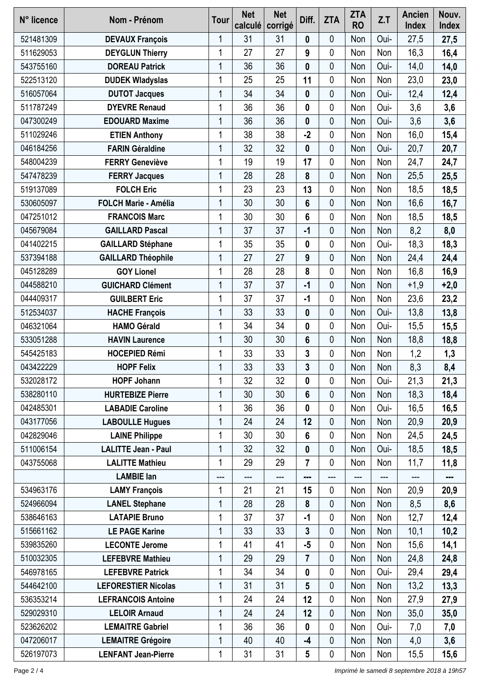| N° licence | Nom - Prénom                | <b>Tour</b> | <b>Net</b><br>calculé | <b>Net</b><br>corrigé | Diff.                   | <b>ZTA</b>  | <b>ZTA</b><br><b>RO</b> | Z.T  | <b>Ancien</b><br><b>Index</b> | Nouv.<br><b>Index</b> |
|------------|-----------------------------|-------------|-----------------------|-----------------------|-------------------------|-------------|-------------------------|------|-------------------------------|-----------------------|
| 521481309  | <b>DEVAUX François</b>      | 1           | 31                    | 31                    | 0                       | 0           | Non                     | Oui- | 27,5                          | 27,5                  |
| 511629053  | <b>DEYGLUN Thierry</b>      | 1           | 27                    | 27                    | 9                       | 0           | Non                     | Non  | 16,3                          | 16,4                  |
| 543755160  | <b>DOREAU Patrick</b>       | 1           | 36                    | 36                    | $\mathbf 0$             | 0           | Non                     | Oui- | 14,0                          | 14,0                  |
| 522513120  | <b>DUDEK Wladyslas</b>      | 1           | 25                    | 25                    | 11                      | 0           | Non                     | Non  | 23,0                          | 23,0                  |
| 516057064  | <b>DUTOT Jacques</b>        | 1           | 34                    | 34                    | $\boldsymbol{0}$        | 0           | Non                     | Oui- | 12,4                          | 12,4                  |
| 511787249  | <b>DYEVRE Renaud</b>        | 1           | 36                    | 36                    | 0                       | 0           | Non                     | Oui- | 3,6                           | 3,6                   |
| 047300249  | <b>EDOUARD Maxime</b>       | 1           | 36                    | 36                    | 0                       | 0           | Non                     | Oui- | 3,6                           | 3,6                   |
| 511029246  | <b>ETIEN Anthony</b>        | 1           | 38                    | 38                    | $-2$                    | $\mathbf 0$ | Non                     | Non  | 16,0                          | 15,4                  |
| 046184256  | <b>FARIN Géraldine</b>      | 1           | 32                    | 32                    | $\boldsymbol{0}$        | 0           | Non                     | Oui- | 20,7                          | 20,7                  |
| 548004239  | <b>FERRY Geneviève</b>      | 1           | 19                    | 19                    | 17                      | 0           | Non                     | Non  | 24,7                          | 24,7                  |
| 547478239  | <b>FERRY Jacques</b>        | 1           | 28                    | 28                    | 8                       | 0           | Non                     | Non  | 25,5                          | 25,5                  |
| 519137089  | <b>FOLCH Eric</b>           | 1           | 23                    | 23                    | 13                      | 0           | Non                     | Non  | 18,5                          | 18,5                  |
| 530605097  | <b>FOLCH Marie - Amélia</b> | 1           | 30                    | 30                    | $6\phantom{1}$          | 0           | Non                     | Non  | 16,6                          | 16,7                  |
| 047251012  | <b>FRANCOIS Marc</b>        | 1           | 30                    | 30                    | 6                       | 0           | Non                     | Non  | 18,5                          | 18,5                  |
| 045679084  | <b>GAILLARD Pascal</b>      | 1           | 37                    | 37                    | $-1$                    | 0           | Non                     | Non  | 8,2                           | 8,0                   |
| 041402215  | <b>GAILLARD Stéphane</b>    | 1           | 35                    | 35                    | 0                       | 0           | Non                     | Oui- | 18,3                          | 18,3                  |
| 537394188  | <b>GAILLARD Théophile</b>   | 1           | 27                    | 27                    | 9                       | 0           | Non                     | Non  | 24,4                          | 24,4                  |
| 045128289  | <b>GOY Lionel</b>           | 1           | 28                    | 28                    | 8                       | 0           | Non                     | Non  | 16,8                          | 16,9                  |
| 044588210  | <b>GUICHARD Clément</b>     | 1           | 37                    | 37                    | $-1$                    | $\mathbf 0$ | Non                     | Non  | $+1,9$                        | $+2,0$                |
| 044409317  | <b>GUILBERT Eric</b>        | 1           | 37                    | 37                    | $-1$                    | 0           | Non                     | Non  | 23,6                          | 23,2                  |
| 512534037  | <b>HACHE François</b>       | 1           | 33                    | 33                    | 0                       | 0           | Non                     | Oui- | 13,8                          | 13,8                  |
| 046321064  | <b>HAMO Gérald</b>          | 1           | 34                    | 34                    | 0                       | 0           | Non                     | Oui- | 15,5                          | 15,5                  |
| 533051288  | <b>HAVIN Laurence</b>       | 1           | 30                    | 30                    | 6                       | 0           | Non                     | Non  | 18,8                          | 18,8                  |
| 545425183  | <b>HOCEPIED Rémi</b>        | 1           | 33                    | 33                    | 3                       | 0           | Non                     | Non  | 1,2                           | 1,3                   |
| 043422229  | <b>HOPF Felix</b>           | 1           | 33                    | 33                    | 3                       | 0           | Non                     | Non  | 8,3                           | 8,4                   |
| 532028172  | <b>HOPF Johann</b>          | 1           | 32                    | 32                    | 0                       | 0           | Non                     | Oui- | 21,3                          | 21,3                  |
| 538280110  | <b>HURTEBIZE Pierre</b>     | 1           | 30                    | 30                    | 6                       | $\mathbf 0$ | Non                     | Non  | 18,3                          | 18,4                  |
| 042485301  | <b>LABADIE Caroline</b>     | 1           | 36                    | 36                    | 0                       | 0           | Non                     | Oui- | 16,5                          | 16,5                  |
| 043177056  | <b>LABOULLE Hugues</b>      | 1           | 24                    | 24                    | 12                      | 0           | Non                     | Non  | 20,9                          | 20,9                  |
| 042829046  | <b>LAINE Philippe</b>       | 1           | 30                    | 30                    | 6                       | 0           | Non                     | Non  | 24,5                          | 24,5                  |
| 511006154  | <b>LALITTE Jean - Paul</b>  | 1           | 32                    | 32                    | 0                       | $\mathbf 0$ | Non                     | Oui- | 18,5                          | 18,5                  |
| 043755068  | <b>LALITTE Mathieu</b>      | 1           | 29                    | 29                    | $\overline{\mathbf{r}}$ | 0           | Non                     | Non  | 11,7                          | 11,8                  |
|            | <b>LAMBIE lan</b>           | ---         | ---                   | ---                   |                         | ---         | ---                     | ---  | ---                           | ---                   |
| 534963176  | <b>LAMY François</b>        | 1           | 21                    | 21                    | 15                      | 0           | Non                     | Non  | 20,9                          | 20,9                  |
| 524966094  | <b>LANEL Stephane</b>       | 1           | 28                    | 28                    | $\pmb{8}$               | $\mathbf 0$ | Non                     | Non  | 8,5                           | 8,6                   |
| 538646163  | <b>LATAPIE Bruno</b>        | 1           | 37                    | 37                    | $-1$                    | $\mathbf 0$ | Non                     | Non  | 12,7                          | 12,4                  |
| 515661162  | <b>LE PAGE Karine</b>       | 1           | 33                    | 33                    | 3                       | 0           | Non                     | Non  | 10,1                          | 10,2                  |
| 539835260  | <b>LECONTE Jerome</b>       | 1           | 41                    | 41                    | $-5$                    | 0           | Non                     | Non  | 15,6                          | 14,1                  |
| 510032305  | <b>LEFEBVRE Mathieu</b>     | 1           | 29                    | 29                    | 7                       | 0           | Non                     | Non  | 24,8                          | 24,8                  |
| 546978165  | <b>LEFEBVRE Patrick</b>     | 1           | 34                    | 34                    | 0                       | 0           | Non                     | Oui- | 29,4                          | 29,4                  |
| 544642100  | <b>LEFORESTIER Nicolas</b>  | 1           | 31                    | 31                    | 5                       | $\mathbf 0$ | Non                     | Non  | 13,2                          | 13,3                  |
| 536353214  | <b>LEFRANCOIS Antoine</b>   | 1           | 24                    | 24                    | 12                      | 0           | Non                     | Non  | 27,9                          | 27,9                  |
| 529029310  | <b>LELOIR Arnaud</b>        | 1           | 24                    | 24                    | 12                      | 0           | Non                     | Non  | 35,0                          | 35,0                  |
| 523626202  | <b>LEMAITRE Gabriel</b>     | 1           | 36                    | 36                    | 0                       | 0           | Non                     | Oui- | 7,0                           | 7,0                   |
| 047206017  | <b>LEMAITRE Grégoire</b>    | 1           | 40                    | 40                    | $-4$                    | 0           | Non                     | Non  | 4,0                           | 3,6                   |
| 526197073  | <b>LENFANT Jean-Pierre</b>  | 1           | 31                    | 31                    | 5                       | $\pmb{0}$   | Non                     | Non  | 15,5                          | 15,6                  |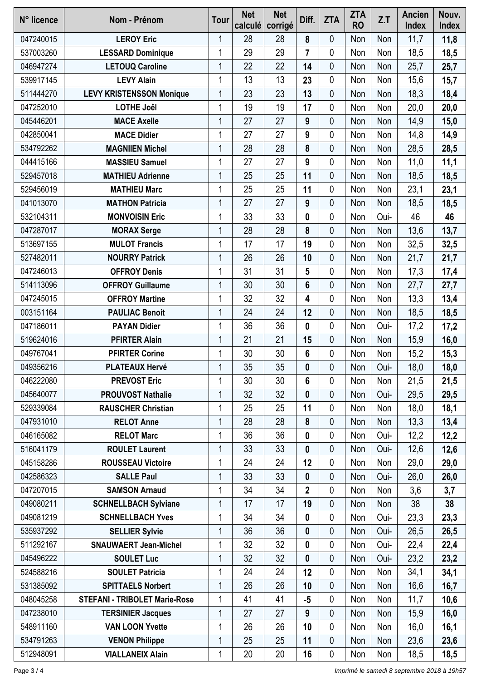| N° licence | Nom - Prénom                         | <b>Tour</b> | <b>Net</b><br>calculé | <b>Net</b><br>corrigé | Diff.            | <b>ZTA</b>  | <b>ZTA</b><br><b>RO</b> | Z.T  | Ancien<br><b>Index</b> | Nouv.<br><b>Index</b> |
|------------|--------------------------------------|-------------|-----------------------|-----------------------|------------------|-------------|-------------------------|------|------------------------|-----------------------|
| 047240015  | <b>LEROY Eric</b>                    | 1           | 28                    | 28                    | 8                | 0           | Non                     | Non  | 11,7                   | 11,8                  |
| 537003260  | <b>LESSARD Dominique</b>             | 1           | 29                    | 29                    | $\overline{7}$   | 0           | Non                     | Non  | 18,5                   | 18,5                  |
| 046947274  | <b>LETOUQ Caroline</b>               | 1           | 22                    | 22                    | 14               | $\mathbf 0$ | Non                     | Non  | 25,7                   | 25,7                  |
| 539917145  | <b>LEVY Alain</b>                    | 1           | 13                    | 13                    | 23               | 0           | Non                     | Non  | 15,6                   | 15,7                  |
| 511444270  | <b>LEVY KRISTENSSON Monique</b>      | 1           | 23                    | 23                    | 13               | 0           | Non                     | Non  | 18,3                   | 18,4                  |
| 047252010  | <b>LOTHE Joêl</b>                    | 1           | 19                    | 19                    | 17               | 0           | Non                     | Non  | 20,0                   | 20,0                  |
| 045446201  | <b>MACE Axelle</b>                   | 1           | 27                    | 27                    | 9                | 0           | Non                     | Non  | 14,9                   | 15,0                  |
| 042850041  | <b>MACE Didier</b>                   | 1           | 27                    | 27                    | 9                | 0           | Non                     | Non  | 14,8                   | 14,9                  |
| 534792262  | <b>MAGNIIEN Michel</b>               | 1           | 28                    | 28                    | 8                | $\mathbf 0$ | Non                     | Non  | 28,5                   | 28,5                  |
| 044415166  | <b>MASSIEU Samuel</b>                | 1           | 27                    | 27                    | $\boldsymbol{9}$ | 0           | Non                     | Non  | 11,0                   | 11,1                  |
| 529457018  | <b>MATHIEU Adrienne</b>              | 1           | 25                    | 25                    | 11               | 0           | Non                     | Non  | 18,5                   | 18,5                  |
| 529456019  | <b>MATHIEU Marc</b>                  |             | 25                    | 25                    | 11               | 0           | Non                     | Non  | 23,1                   | 23,1                  |
| 041013070  | <b>MATHON Patricia</b>               | 1           | 27                    | 27                    | 9                | 0           | Non                     | Non  | 18,5                   | 18,5                  |
| 532104311  | <b>MONVOISIN Eric</b>                | 1           | 33                    | 33                    | 0                | 0           | Non                     | Oui- | 46                     | 46                    |
| 047287017  | <b>MORAX Serge</b>                   | 1           | 28                    | 28                    | 8                | 0           | Non                     | Non  | 13,6                   | 13,7                  |
| 513697155  | <b>MULOT Francis</b>                 | 1           | 17                    | 17                    | 19               | 0           | Non                     | Non  | 32,5                   | 32,5                  |
| 527482011  | <b>NOURRY Patrick</b>                | 1           | 26                    | 26                    | 10               | 0           | Non                     | Non  | 21,7                   | 21,7                  |
| 047246013  | <b>OFFROY Denis</b>                  | 1           | 31                    | 31                    | 5                | 0           | Non                     | Non  | 17,3                   | 17,4                  |
| 514113096  | <b>OFFROY Guillaume</b>              | 1           | 30                    | 30                    | $6\phantom{a}$   | 0           | Non                     | Non  | 27,7                   | 27,7                  |
| 047245015  | <b>OFFROY Martine</b>                | 1           | 32                    | 32                    | 4                | 0           | Non                     | Non  | 13,3                   | 13,4                  |
| 003151164  | <b>PAULIAC Benoit</b>                | 1           | 24                    | 24                    | 12               | 0           | Non                     | Non  | 18,5                   | 18,5                  |
| 047186011  | <b>PAYAN Didier</b>                  | 1           | 36                    | 36                    | 0                | 0           | Non                     | Oui- | 17,2                   | 17,2                  |
| 519624016  | <b>PFIRTER Alain</b>                 | 1           | 21                    | 21                    | 15               | 0           | Non                     | Non  | 15,9                   | 16,0                  |
| 049767041  | <b>PFIRTER Corine</b>                | 1           | 30                    | 30                    | 6                | 0           | Non                     | Non  | 15,2                   | 15,3                  |
| 049356216  | <b>PLATEAUX Hervé</b>                | 1           | 35                    | 35                    | $\bf{0}$         | 0           | Non                     | Oui- | 18,0                   | 18,0                  |
| 046222080  | <b>PREVOST Eric</b>                  | 1           | 30                    | 30                    | 6                | 0           | Non                     | Non  | 21,5                   | 21,5                  |
| 045640077  | <b>PROUVOST Nathalie</b>             | 1           | 32                    | 32                    | 0                | 0           | Non                     | Oui- | 29,5                   | 29,5                  |
| 529339084  | <b>RAUSCHER Christian</b>            | 1           | 25                    | 25                    | 11               | 0           | Non                     | Non  | 18,0                   | 18,1                  |
| 047931010  | <b>RELOT Anne</b>                    | 1           | 28                    | 28                    | 8                | 0           | Non                     | Non  | 13,3                   | 13,4                  |
| 046165082  | <b>RELOT Marc</b>                    | 1           | 36                    | 36                    | 0                | 0           | Non                     | Oui- | 12,2                   | 12,2                  |
| 516041179  | <b>ROULET Laurent</b>                | 1           | 33                    | 33                    | $\boldsymbol{0}$ | $\mathbf 0$ | Non                     | Oui- | 12,6                   | 12,6                  |
| 045158286  | <b>ROUSSEAU Victoire</b>             | 1           | 24                    | 24                    | 12               | 0           | Non                     | Non  | 29,0                   | 29,0                  |
| 042586323  | <b>SALLE Paul</b>                    | 1           | 33                    | 33                    | 0                | 0           | Non                     | Oui- | 26,0                   | 26,0                  |
| 047207015  | <b>SAMSON Arnaud</b>                 | 1           | 34                    | 34                    | $\overline{2}$   | 0           | Non                     | Non  | 3,6                    | 3,7                   |
| 049080211  | <b>SCHNELLBACH Sylviane</b>          | 1           | 17                    | 17                    | 19               | 0           | Non                     | Non  | 38                     | 38                    |
| 049081219  | <b>SCHNELLBACH Yves</b>              | 1           | 34                    | 34                    | $\mathbf 0$      | $\mathbf 0$ | Non                     | Oui- | 23,3                   | 23,3                  |
| 535937292  | <b>SELLIER Sylvie</b>                | 1           | 36                    | 36                    | $\mathbf 0$      | $\mathbf 0$ | Non                     | Oui- | 26,5                   | 26,5                  |
| 511292167  | <b>SNAUWAERT Jean-Michel</b>         | 1           | 32                    | 32                    | 0                | 0           | Non                     | Oui- | 22,4                   | 22,4                  |
| 045496222  | <b>SOULET Luc</b>                    | 1           | 32                    | 32                    | 0                | 0           | Non                     | Oui- | 23,2                   | 23,2                  |
| 524588216  | <b>SOULET Patricia</b>               | 1           | 24                    | 24                    | 12               | 0           | Non                     | Non  | 34,1                   | 34,1                  |
| 531385092  | <b>SPITTAELS Norbert</b>             | 1           | 26                    | 26                    | 10               | $\mathbf 0$ | Non                     | Non  | 16,6                   | 16,7                  |
| 048045258  | <b>STEFANI - TRIBOLET Marie-Rose</b> | 1           | 41                    | 41                    | $-5$             | 0           | Non                     | Non  | 11,7                   | 10,6                  |
| 047238010  | <b>TERSINIER Jacques</b>             | 1           | 27                    | 27                    | 9                | 0           | Non                     | Non  | 15,9                   | 16,0                  |
| 548911160  | <b>VAN LOON Yvette</b>               | 1           | 26                    | 26                    | 10               | 0           | Non                     | Non  | 16,0                   | 16,1                  |
| 534791263  | <b>VENON Philippe</b>                | 1           | 25                    | 25                    | 11               | 0           | Non                     | Non  | 23,6                   | 23,6                  |
| 512948091  | <b>VIALLANEIX Alain</b>              | 1           | 20                    | 20                    | 16               | 0           | Non                     | Non  | 18,5                   | 18,5                  |